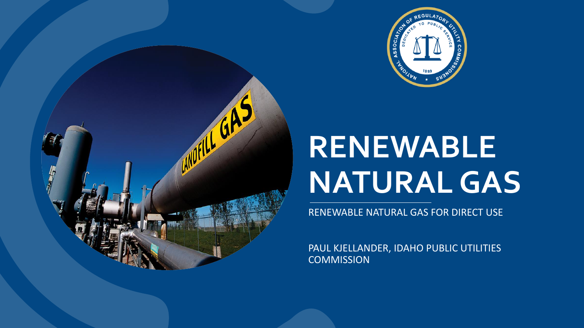

## **RENEWABLE NATURAL GAS**

**ANDELLE GAS** 

RENEWABLE NATURAL GAS FOR DIRECT USE

PAUL KJELLANDER, IDAHO PUBLIC UTILITIES **COMMISSION**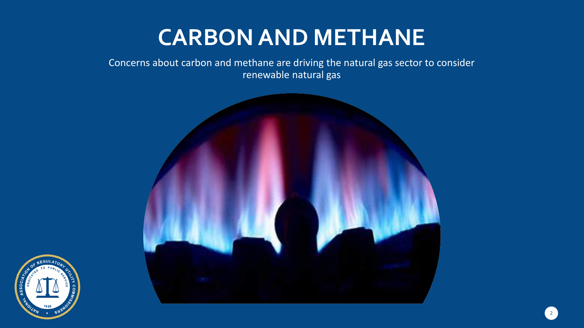### **CARBON AND METHANE**

Concerns about carbon and methane are driving the natural gas sector to consider renewable natural gas



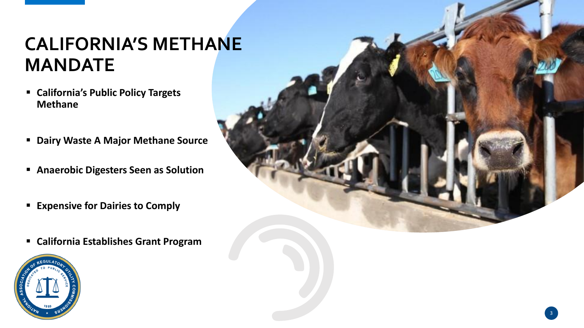#### **CALIFORNIA'S METHANE MANDATE**

- **California's Public Policy Targets Methane**
- **Dairy Waste A Major Methane Source**
- **Anaerobic Digesters Seen as Solution**
- **Expensive for Dairies to Comply**
- **California Establishes Grant Program**



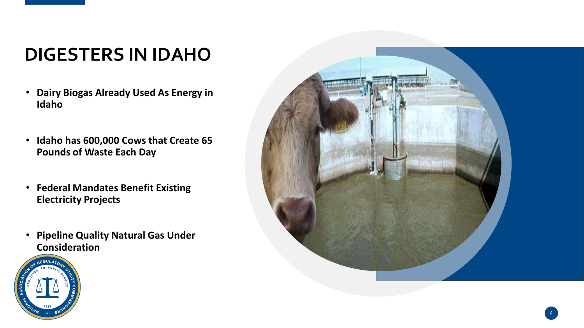### **DIGESTERS IN IDAHO**

- **Dairy Biogas Already Used As Energy in Idaho**
- **Idaho has 600,000 Cows that Create 65 Pounds of Waste Each Day**
- **Federal Mandates Benefit Existing Electricity Projects**
- **Pipeline Quality Natural Gas Under Consideration**



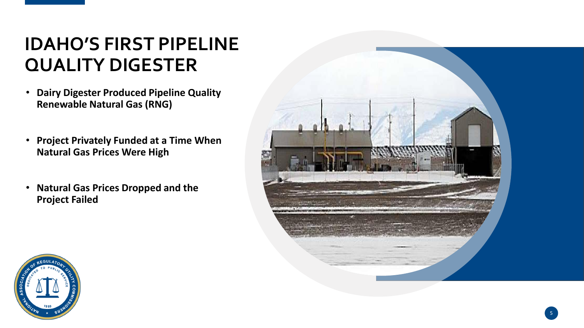#### **IDAHO'S FIRST PIPELINE QUALITY DIGESTER**

- **Dairy Digester Produced Pipeline Quality Renewable Natural Gas (RNG)**
- **Project Privately Funded at a Time When Natural Gas Prices Were High**
- **Natural Gas Prices Dropped and the Project Failed**



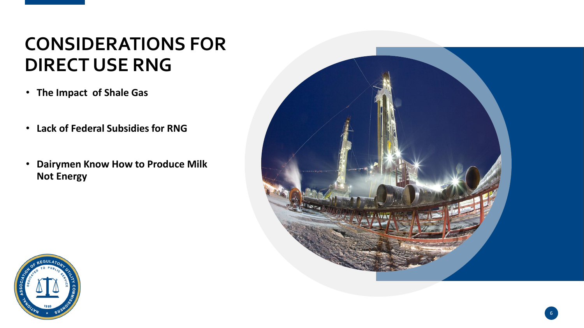#### **CONSIDERATIONS FOR DIRECT USE RNG**

- **The Impact of Shale Gas**
- **Lack of Federal Subsidies for RNG**
- **Dairymen Know How to Produce Milk Not Energy**



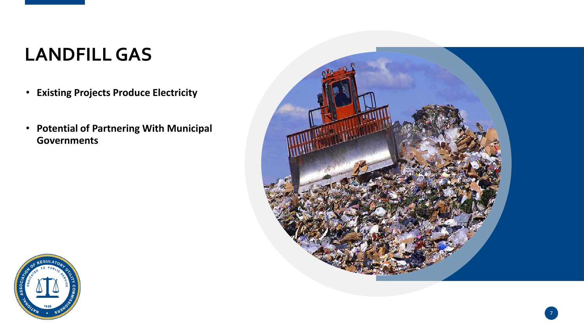#### **LANDFILL GAS**

- **Existing Projects Produce Electricity**
- **Potential of Partnering With Municipal Governments**



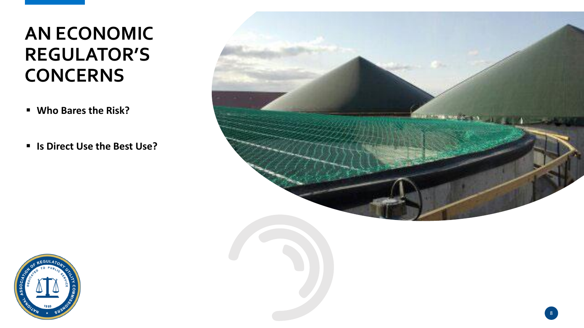#### **AN ECONOMIC REGULATOR'S CONCERNS**

- **Who Bares the Risk?**
- **Is Direct Use the Best Use?**